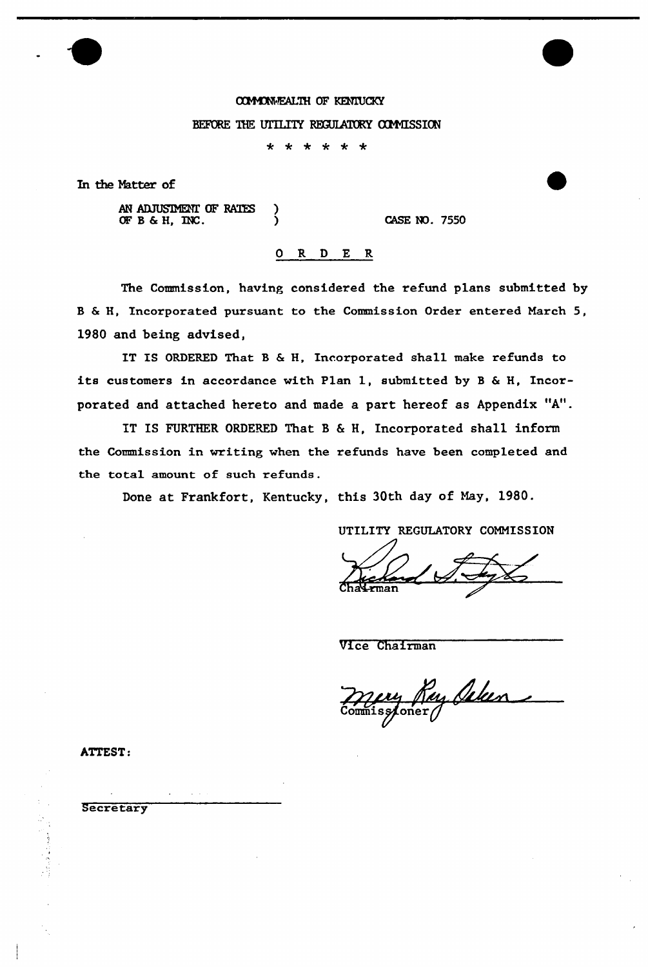# OMCMVALTH OF KENIUCKY

#### BEFORE THE UTILITY REGULATORY COMMISSION

\* \* \* \* \* \*

In the Natter of

AN ADJUSIMENT OF RATES ) OFB&H, INC. ) CASE NO. 7550

### 0 R <sup>D</sup> E R

The Commission, having considered the refund plans submitted by B & H, Incorporated pursuant to the Commission Order entered March 5, 1980 and being advised,

IT IS ORDERED That B & H, Incorporated shall make refunds to its customers in accordance with Plan 1, submitted by <sup>B</sup> & H, Incorporated and attached hereto and made a part hereof as Appendix "A".

IT IS FURTHER ORDERED That B <sup>6</sup> H, Incorporated shall inform the Commission in writing when the refunds have been completed and the total amount of such refunds.

Done at Frankfort, Kentucky, this 30th day of Nay, 1980.

UTILITY REGULATORY COMMISSION

Vice Chairman

mery Ray Celen

ATTEST:

**Secretary**